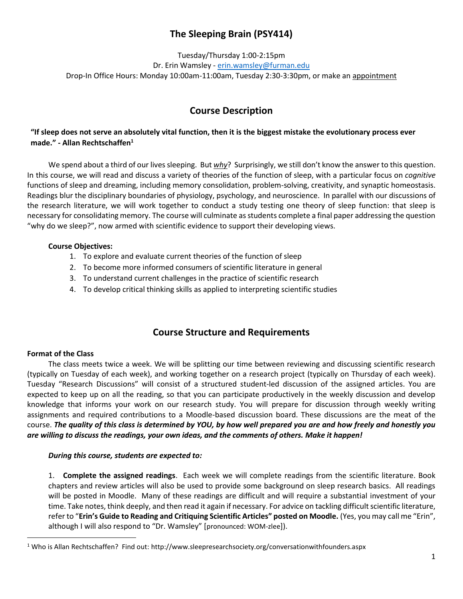# **The Sleeping Brain (PSY414)**

Tuesday/Thursday 1:00-2:15pm Dr. Erin Wamsley - [erin.wamsley@furman.edu](mailto:erin.wamsley@furman.edu) Drop-In Office Hours: Monday 10:00am-11:00am, Tuesday 2:30-3:30pm, or make an appointment

# **Course Description**

## **"If sleep does not serve an absolutely vital function, then it is the biggest mistake the evolutionary process ever made." - Allan Rechtschaffen<sup>1</sup>**

We spend about a third of our lives sleeping. But *why*? Surprisingly, we still don't know the answer to this question. In this course, we will read and discuss a variety of theories of the function of sleep, with a particular focus on *cognitive* functions of sleep and dreaming, including memory consolidation, problem-solving, creativity, and synaptic homeostasis. Readings blur the disciplinary boundaries of physiology, psychology, and neuroscience. In parallel with our discussions of the research literature, we will work together to conduct a study testing one theory of sleep function: that sleep is necessary for consolidating memory. The course will culminate as students complete a final paper addressing the question "why do we sleep?", now armed with scientific evidence to support their developing views.

#### **Course Objectives:**

- 1. To explore and evaluate current theories of the function of sleep
- 2. To become more informed consumers of scientific literature in general
- 3. To understand current challenges in the practice of scientific research
- 4. To develop critical thinking skills as applied to interpreting scientific studies

# **Course Structure and Requirements**

### **Format of the Class**

 $\overline{a}$ 

The class meets twice a week. We will be splitting our time between reviewing and discussing scientific research (typically on Tuesday of each week), and working together on a research project (typically on Thursday of each week). Tuesday "Research Discussions" will consist of a structured student-led discussion of the assigned articles. You are expected to keep up on all the reading, so that you can participate productively in the weekly discussion and develop knowledge that informs your work on our research study. You will prepare for discussion through weekly writing assignments and required contributions to a Moodle-based discussion board. These discussions are the meat of the course. *The quality of this class is determined by YOU, by how well prepared you are and how freely and honestly you are willing to discuss the readings, your own ideas, and the comments of others. Make it happen!*

#### *During this course, students are expected to:*

1. **Complete the assigned readings**. Each week we will complete readings from the scientific literature. Book chapters and review articles will also be used to provide some background on sleep research basics. All readings will be posted in Moodle. Many of these readings are difficult and will require a substantial investment of your time. Take notes, think deeply, and then read it again if necessary. For advice on tackling difficult scientific literature, refer to "**Erin's Guide to Reading and Critiquing Scientific Articles" posted on Moodle.** (Yes, you may call me "Erin", although I will also respond to "Dr. Wamsley" [pronounced: WOM-zlee]).

<sup>&</sup>lt;sup>1</sup> Who is Allan Rechtschaffen? Find out: http://www.sleepresearchsociety.org/conversationwithfounders.aspx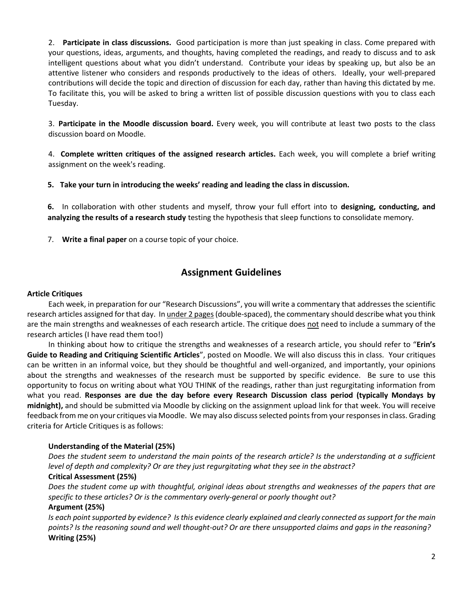2. **Participate in class discussions.** Good participation is more than just speaking in class. Come prepared with your questions, ideas, arguments, and thoughts, having completed the readings, and ready to discuss and to ask intelligent questions about what you didn't understand. Contribute your ideas by speaking up, but also be an attentive listener who considers and responds productively to the ideas of others. Ideally, your well-prepared contributions will decide the topic and direction of discussion for each day, rather than having this dictated by me*.*  To facilitate this, you will be asked to bring a written list of possible discussion questions with you to class each Tuesday.

3. **Participate in the Moodle discussion board.** Every week, you will contribute at least two posts to the class discussion board on Moodle.

4. **Complete written critiques of the assigned research articles.** Each week, you will complete a brief writing assignment on the week's reading.

**5. Take your turn in introducing the weeks' reading and leading the class in discussion.** 

**6.** In collaboration with other students and myself, throw your full effort into to **designing, conducting, and analyzing the results of a research study** testing the hypothesis that sleep functions to consolidate memory.

7. **Write a final paper** on a course topic of your choice.

# **Assignment Guidelines**

#### **Article Critiques**

Each week, in preparation for our "Research Discussions", you will write a commentary that addresses the scientific research articles assigned for that day. In *under 2 pages* (double-spaced), the commentary should describe what you think are the main strengths and weaknesses of each research article. The critique does not need to include a summary of the research articles (I have read them too!)

In thinking about how to critique the strengths and weaknesses of a research article, you should refer to "**Erin's Guide to Reading and Critiquing Scientific Articles**", posted on Moodle. We will also discuss this in class. Your critiques can be written in an informal voice, but they should be thoughtful and well-organized, and importantly, your opinions about the strengths and weaknesses of the research must be supported by specific evidence. Be sure to use this opportunity to focus on writing about what YOU THINK of the readings, rather than just regurgitating information from what you read. **Responses are due the day before every Research Discussion class period (typically Mondays by midnight),** and should be submitted via Moodle by clicking on the assignment upload link for that week. You will receive feedback from me on your critiques via Moodle. We may also discuss selected points from your responses in class. Grading criteria for Article Critiques is as follows:

#### **Understanding of the Material (25%)**

*Does the student seem to understand the main points of the research article? Is the understanding at a sufficient level of depth and complexity? Or are they just regurgitating what they see in the abstract?*

#### **Critical Assessment (25%)**

*Does the student come up with thoughtful, original ideas about strengths and weaknesses of the papers that are specific to these articles? Or is the commentary overly-general or poorly thought out?*

#### **Argument (25%)**

*Is each point supported by evidence? Is this evidence clearly explained and clearly connected as support for the main points? Is the reasoning sound and well thought-out? Or are there unsupported claims and gaps in the reasoning?* **Writing (25%)**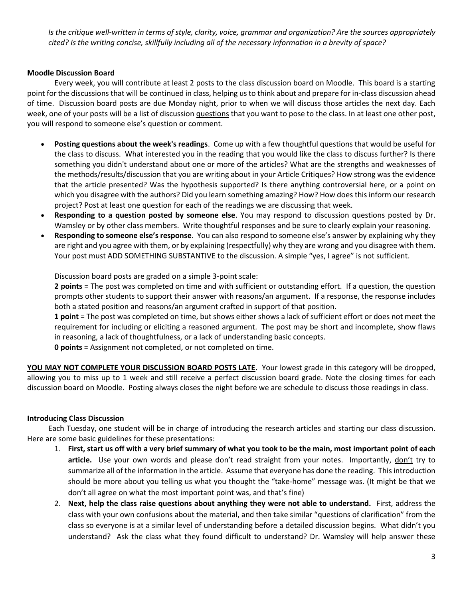*Is the critique well-written in terms of style, clarity, voice, grammar and organization? Are the sources appropriately cited? Is the writing concise, skillfully including all of the necessary information in a brevity of space?* 

#### **Moodle Discussion Board**

Every week, you will contribute at least 2 posts to the class discussion board on Moodle. This board is a starting point for the discussions that will be continued in class, helping us to think about and prepare for in-class discussion ahead of time. Discussion board posts are due Monday night, prior to when we will discuss those articles the next day. Each week, one of your posts will be a list of discussion questions that you want to pose to the class. In at least one other post, you will respond to someone else's question or comment.

- **Posting questions about the week's readings**. Come up with a few thoughtful questions that would be useful for the class to discuss. What interested you in the reading that you would like the class to discuss further? Is there something you didn't understand about one or more of the articles? What are the strengths and weaknesses of the methods/results/discussion that you are writing about in your Article Critiques? How strong was the evidence that the article presented? Was the hypothesis supported? Is there anything controversial here, or a point on which you disagree with the authors? Did you learn something amazing? How? How does this inform our research project? Post at least one question for each of the readings we are discussing that week.
- **Responding to a question posted by someone else**. You may respond to discussion questions posted by Dr. Wamsley or by other class members. Write thoughtful responses and be sure to clearly explain your reasoning.
- **Responding to someone else's response**. You can also respond to someone else's answer by explaining why they are right and you agree with them, or by explaining (respectfully) why they are wrong and you disagree with them. Your post must ADD SOMETHING SUBSTANTIVE to the discussion. A simple "yes, I agree" is not sufficient.

Discussion board posts are graded on a simple 3-point scale:

**2 points** = The post was completed on time and with sufficient or outstanding effort. If a question, the question prompts other students to support their answer with reasons/an argument. If a response, the response includes both a stated position and reasons/an argument crafted in support of that position.

**1 point** = The post was completed on time, but shows either shows a lack of sufficient effort or does not meet the requirement for including or eliciting a reasoned argument. The post may be short and incomplete, show flaws in reasoning, a lack of thoughtfulness, or a lack of understanding basic concepts.

**0 points** = Assignment not completed, or not completed on time.

**YOU MAY NOT COMPLETE YOUR DISCUSSION BOARD POSTS LATE.** Your lowest grade in this category will be dropped, allowing you to miss up to 1 week and still receive a perfect discussion board grade. Note the closing times for each discussion board on Moodle. Posting always closes the night before we are schedule to discuss those readings in class.

#### **Introducing Class Discussion**

Each Tuesday, one student will be in charge of introducing the research articles and starting our class discussion. Here are some basic guidelines for these presentations:

- 1. **First, start us off with a very brief summary of what you took to be the main, most important point of each article.** Use your own words and please don't read straight from your notes. Importantly, don't try to summarize all of the information in the article. Assume that everyone has done the reading. This introduction should be more about you telling us what you thought the "take-home" message was. (It might be that we don't all agree on what the most important point was, and that's fine)
- 2. **Next, help the class raise questions about anything they were not able to understand.** First, address the class with your own confusions about the material, and then take similar "questions of clarification" from the class so everyone is at a similar level of understanding before a detailed discussion begins. What didn't you understand? Ask the class what they found difficult to understand? Dr. Wamsley will help answer these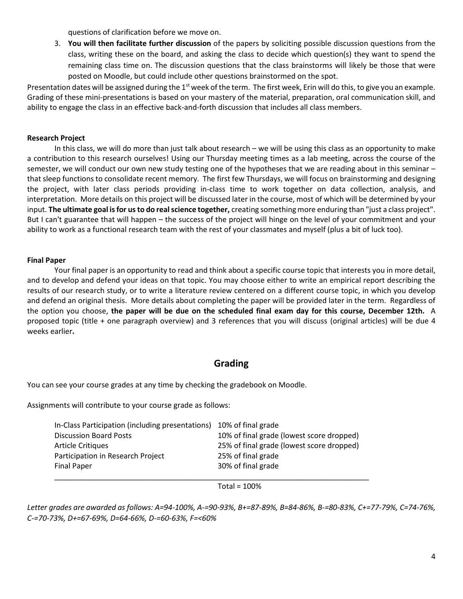questions of clarification before we move on.

3. **You will then facilitate further discussion** of the papers by soliciting possible discussion questions from the class, writing these on the board, and asking the class to decide which question(s) they want to spend the remaining class time on. The discussion questions that the class brainstorms will likely be those that were posted on Moodle, but could include other questions brainstormed on the spot.

Presentation dates will be assigned during the 1<sup>st</sup> week of the term. The first week, Erin will do this, to give you an example. Grading of these mini-presentations is based on your mastery of the material, preparation, oral communication skill, and ability to engage the class in an effective back-and-forth discussion that includes all class members.

#### **Research Project**

In this class, we will do more than just talk about research – we will be using this class as an opportunity to make a contribution to this research ourselves! Using our Thursday meeting times as a lab meeting, across the course of the semester, we will conduct our own new study testing one of the hypotheses that we are reading about in this seminar – that sleep functions to consolidate recent memory. The first few Thursdays, we will focus on brainstorming and designing the project, with later class periods providing in-class time to work together on data collection, analysis, and interpretation. More details on this project will be discussed later in the course, most of which will be determined by your input. **The ultimate goal is for us to do real science together,** creating something more enduring than "just a class project". But I can't guarantee that will happen – the success of the project will hinge on the level of your commitment and your ability to work as a functional research team with the rest of your classmates and myself (plus a bit of luck too).

#### **Final Paper**

Your final paper is an opportunity to read and think about a specific course topic that interests you in more detail, and to develop and defend your ideas on that topic. You may choose either to write an empirical report describing the results of our research study, or to write a literature review centered on a different course topic, in which you develop and defend an original thesis. More details about completing the paper will be provided later in the term. Regardless of the option you choose, **the paper will be due on the scheduled final exam day for this course, December 12th.** A proposed topic (title + one paragraph overview) and 3 references that you will discuss (original articles) will be due 4 weeks earlier**.**

# **Grading**

You can see your course grades at any time by checking the gradebook on Moodle.

Assignments will contribute to your course grade as follows:

| In-Class Participation (including presentations) | 10% of final grade                        |
|--------------------------------------------------|-------------------------------------------|
| <b>Discussion Board Posts</b>                    | 10% of final grade (lowest score dropped) |
| <b>Article Critiques</b>                         | 25% of final grade (lowest score dropped) |
| Participation in Research Project                | 25% of final grade                        |
| <b>Final Paper</b>                               | 30% of final grade                        |
|                                                  |                                           |

Total = 100%

*Letter grades are awarded as follows: A=94-100%, A-=90-93%, B+=87-89%, B=84-86%, B-=80-83%, C+=77-79%, C=74-76%, C-=70-73%, D+=67-69%, D=64-66%, D-=60-63%, F=<60%*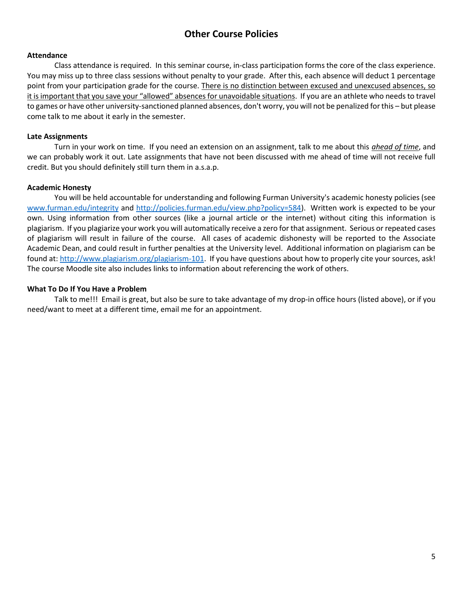# **Other Course Policies**

#### **Attendance**

Class attendance is required. In this seminar course, in-class participation forms the core of the class experience. You may miss up to three class sessions without penalty to your grade. After this, each absence will deduct 1 percentage point from your participation grade for the course. There is no distinction between excused and unexcused absences, so it is important that you save your "allowed" absences for unavoidable situations. If you are an athlete who needs to travel to games or have other university-sanctioned planned absences, don't worry, you will not be penalized for this – but please come talk to me about it early in the semester.

#### **Late Assignments**

Turn in your work on time. If you need an extension on an assignment, talk to me about this *ahead of time*, and we can probably work it out. Late assignments that have not been discussed with me ahead of time will not receive full credit. But you should definitely still turn them in a.s.a.p.

#### **Academic Honesty**

You will be held accountable for understanding and following Furman University's academic honesty policies (see [www.furman.edu/integrity](http://www.furman.edu/integrity) and [http://policies.furman.edu/view.php?policy=584\)](http://policies.furman.edu/view.php?policy=584). Written work is expected to be your own. Using information from other sources (like a journal article or the internet) without citing this information is plagiarism. If you plagiarize your work you will automatically receive a zero for that assignment. Serious or repeated cases of plagiarism will result in failure of the course. All cases of academic dishonesty will be reported to the Associate Academic Dean, and could result in further penalties at the University level. Additional information on plagiarism can be found at: [http://www.plagiarism.org/plagiarism-101.](http://www.plagiarism.org/plagiarism-101) If you have questions about how to properly cite your sources, ask! The course Moodle site also includes links to information about referencing the work of others.

#### **What To Do If You Have a Problem**

Talk to me!!! Email is great, but also be sure to take advantage of my drop-in office hours (listed above), or if you need/want to meet at a different time, email me for an appointment.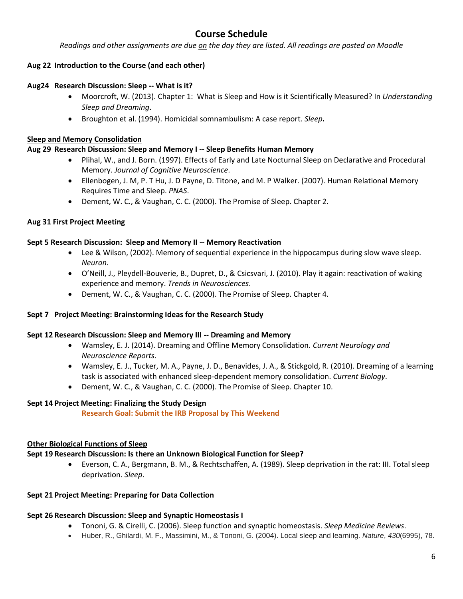# **Course Schedule**

*Readings and other assignments are due on the day they are listed. All readings are posted on Moodle*

### **Aug 22 Introduction to the Course (and each other)**

#### **Aug24 Research Discussion: Sleep -- What is it?**

- Moorcroft, W. (2013). Chapter 1: What is Sleep and How is it Scientifically Measured? In *Understanding Sleep and Dreaming*.
- Broughton et al. (1994). Homicidal somnambulism: A case report. *Sleep***.**

#### **Sleep and Memory Consolidation**

#### **Aug 29 Research Discussion: Sleep and Memory I -- Sleep Benefits Human Memory**

- Plihal, W., and J. Born. (1997). Effects of Early and Late Nocturnal Sleep on Declarative and Procedural Memory. *Journal of Cognitive Neuroscience*.
- Ellenbogen, J. M, P. T Hu, J. D Payne, D. Titone, and M. P Walker. (2007). Human Relational Memory Requires Time and Sleep. *PNAS*.
- Dement, W. C., & Vaughan, C. C. (2000). The Promise of Sleep. Chapter 2.

#### **Aug 31 First Project Meeting**

#### **Sept 5 Research Discussion: Sleep and Memory II -- Memory Reactivation**

- Lee & Wilson, (2002). Memory of sequential experience in the hippocampus during slow wave sleep. *Neuron*.
- O'Neill, J., Pleydell-Bouverie, B., Dupret, D., & Csicsvari, J. (2010). Play it again: reactivation of waking experience and memory. *Trends in Neurosciences*.
- Dement, W. C., & Vaughan, C. C. (2000). The Promise of Sleep. Chapter 4.

#### **Sept 7 Project Meeting: Brainstorming Ideas for the Research Study**

#### **Sept 12 Research Discussion: Sleep and Memory III -- Dreaming and Memory**

- Wamsley, E. J. (2014). Dreaming and Offline Memory Consolidation. *Current Neurology and Neuroscience Reports*.
- Wamsley, E. J., Tucker, M. A., Payne, J. D., Benavides, J. A., & Stickgold, R. (2010). Dreaming of a learning task is associated with enhanced sleep-dependent memory consolidation. *Current Biology*.
- Dement, W. C., & Vaughan, C. C. (2000). The Promise of Sleep. Chapter 10.

#### **Sept 14 Project Meeting: Finalizing the Study Design**

**Research Goal: Submit the IRB Proposal by This Weekend**

#### **Other Biological Functions of Sleep**

# **Sept 19 Research Discussion: Is there an Unknown Biological Function for Sleep?**

 Everson, C. A., Bergmann, B. M., & Rechtschaffen, A. (1989). Sleep deprivation in the rat: III. Total sleep deprivation. *Sleep*.

# **Sept 21 Project Meeting: Preparing for Data Collection**

# **Sept 26 Research Discussion: Sleep and Synaptic Homeostasis I**

- Tononi, G. & Cirelli, C. (2006). Sleep function and synaptic homeostasis. *Sleep Medicine Reviews*.
- Huber, R., Ghilardi, M. F., Massimini, M., & Tononi, G. (2004). Local sleep and learning. *Nature*, *430*(6995), 78.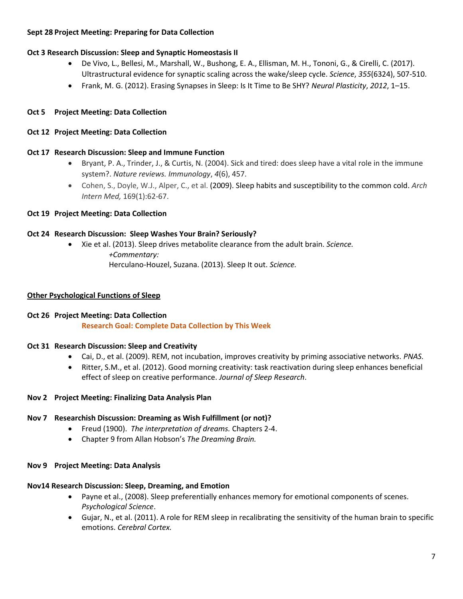#### **Sept 28 Project Meeting: Preparing for Data Collection**

#### **Oct 3 Research Discussion: Sleep and Synaptic Homeostasis II**

- De Vivo, L., Bellesi, M., Marshall, W., Bushong, E. A., Ellisman, M. H., Tononi, G., & Cirelli, C. (2017). Ultrastructural evidence for synaptic scaling across the wake/sleep cycle. *Science*, *355*(6324), 507-510.
- Frank, M. G. (2012). Erasing Synapses in Sleep: Is It Time to Be SHY? *Neural Plasticity*, *2012*, 1–15.

### **Oct 5 Project Meeting: Data Collection**

#### **Oct 12 Project Meeting: Data Collection**

#### **Oct 17 Research Discussion: Sleep and Immune Function**

- Bryant, P. A., Trinder, J., & Curtis, N. (2004). Sick and tired: does sleep have a vital role in the immune system?. *Nature reviews. Immunology*, *4*(6), 457.
- Cohen, S., Doyle, W.J., Alper, C., et al. (2009). Sleep habits and susceptibility to the common cold. *Arch Intern Med,* 169(1):62-67.

#### **Oct 19 Project Meeting: Data Collection**

#### **Oct 24 Research Discussion: Sleep Washes Your Brain? Seriously?**

 Xie et al. (2013). Sleep drives metabolite clearance from the adult brain. *Science. +Commentary:* Herculano-Houzel, Suzana. (2013). Sleep It out. *Science.*

#### **Other Psychological Functions of Sleep**

#### **Oct 26 Project Meeting: Data Collection**

**Research Goal: Complete Data Collection by This Week**

#### **Oct 31 Research Discussion: Sleep and Creativity**

- Cai, D., et al. (2009). REM, not incubation, improves creativity by priming associative networks. *PNAS.*
- Ritter, S.M., et al. (2012). Good morning creativity: task reactivation during sleep enhances beneficial effect of sleep on creative performance. *Journal of Sleep Research*.
- **Nov 2 Project Meeting: Finalizing Data Analysis Plan**

#### **Nov 7 Researchish Discussion: Dreaming as Wish Fulfillment (or not)?**

- Freud (1900). *The interpretation of dreams.* Chapters 2-4.
- Chapter 9 from Allan Hobson's *The Dreaming Brain.*

#### **Nov 9 Project Meeting: Data Analysis**

#### **Nov14 Research Discussion: Sleep, Dreaming, and Emotion**

- Payne et al., (2008). Sleep preferentially enhances memory for emotional components of scenes. *Psychological Science*.
- Gujar, N., et al. (2011). A role for REM sleep in recalibrating the sensitivity of the human brain to specific emotions. *Cerebral Cortex.*